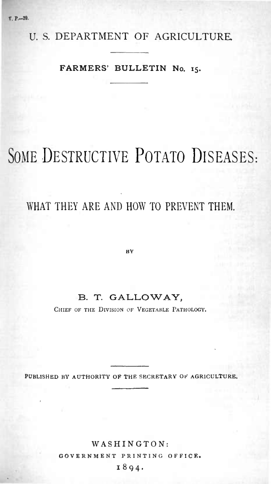U. S. DEPARTMENT OF AGRICULTURE

## **FARMERS' BULLETIN No. 15.**

# SOME DESTRUCTIVE POTATO DISEASES:

## WHAT THEY ARE AND HOW TO PREVENT THEM.

**IIV**

## **B. T. GALLOWAY,**

CHIEF OF THE DIVISION OF VEGETABLE PATHOLOGY.

**BLISHED BY AUTHORITY OF THE SECRETARY OF AGRICULT** 

## **WASHINGTON:**

**GOVERNMENT PRINTING OFFICE.**

**1894.**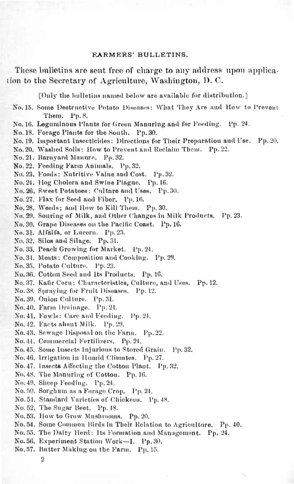#### **KARMERS<sup>1</sup> BULLETINS.**

These bulletins are sent free of charge to any address upon application to the Secretary of Agriculture, Washington, D. C.

[Only the bulletius named below are available for distribution.]

No. 15. Some Destructive Potato Disenses: What They Are and How to Prevent Them. Pp. 8.

No. 16. Legumlnous Plants for Green Manuring and for Feeding. Pp. 24.

No. 18. Forage Plants for the South. Pp. 30.

No. 19. Important Insectlciiles: Directions for Their Preparation anil Use. Pp. 20.

No. 20. Washed Solls: How to Prevent and Reclaim Them. Pp. 22.

No.21. Haruyant Manure. Pp.32.

No.22. Feeding Farm Animals. Pp.32.

No.23. Foods: Nutritive Value and Cost. Pp.32.

No. 21. Hog Cholera and Swine Plague. Pp. 16.

No. 26. Sweet Potatoes: Culture and Uses. Pp. 30.

No. 27. Flax for Seed and Fiber. Pp. 16.

No. 28. Weeds; and How to Kill Them. Pp. 30.

No. 31». Souring of Milk, and Other Changes in Milk Products. Pp.23.

No. 30. Grape Diseases on the Pacific Coast. Pp. 16.

No.31. Alfalfa, or Lneorn. Pp.23.

No. 32. Silos and Silage. Pp. 31.

No. 33. Peach Growing for Market. Pp. 24.

No.34. Meats: Composition and Cooking. Pp. 20.

No. 35. Potato Cnlturc. Pp. 23.

No. 36. Cotton Seed and Its Products. Pp. 16.

No. 37. Kafir Corn: Characteristics, Culture, and Uses. Pp. 12.

No. 38. Spraying for Fruit Diseases. Pp. 12.

No. 39. Onion Culture. Pp. 31.

No. 40. Farm Drainage. Pp.24.

No. 41. Fowls: Care and Feeding. Pp. 24.

No.42. Facts about Milk. Pp.29,

No.43. Sewage Disposal on the Farm. Pp. 22.

No. 44. Commercial Fertilizers. Pp.24.

No. 45. Some Inserts Injurious to Stored (irain. Pp.32.

No. 46. Irrigation in Humid Climates. Pp. 27.

No. 47. Insect» Allecting the Cotton Plant. Pp. 32.

No. 48. The Manuring of Cotton. Pp. 16.

No. 49. Sheep Feeding. Pp. 24.

No. 50. Sorghum as a Forage Crop. Pp. 24.

No.51. Standard Varieties of Chickens. Pp. 48.

No. 52. The Sugar Heet. Pp. 48.

No.63. How to Grow Mushrooins. Pp.20.

No. 54. Some Common Birds In Their Relation to Agriculture. Pp. 40.

No. 55. The Dairy Herd: Its Formation and Management. Pp. 24.

No.56. Kxperiment Station Work—I. Pp.30.

No.57. Hutter Making on the Farm. Pp.15.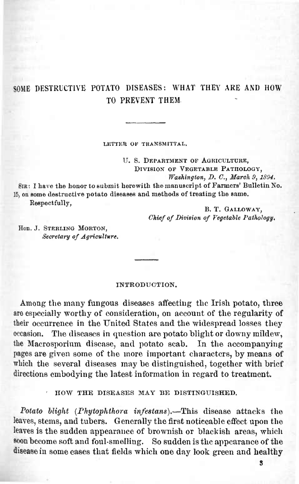## SOME DESTRUCTIVE POTATO DISEASES: WHAT THEY ARE AND HOW TO PREVENT THEM

**LETTER OK TKAN8MITTAL.**

U. 8. DEPARTMENT OF AGRICULTURE, DIVISION OF VEGETABLE PATHOLOGY, *Washington, D. C, Maroh 9, 1894.*

SIR: I have the honor to submit herewith the manuscript of Farmers' Bulletin No. 15, on some destructive potato diseases and methods of treating the same. Respectfully,

B. T. GALLOWAY, *Chief of Division of Vegetable Pathology.* 

Hon. J. STERLING MORTON, *Secretary of Agriculture.*

#### INTRODUCTION.

Among the many fungous diseases affecting the Irish potato, three are especially worthy of consideration, on account of the regularity of their occurrence in the United States and the widespread losses they occasion. The diseases in question are potato blight or downy mildew. The diseases in question are potato blight or downy mildew, the Macrosporium disease, and potato scab. In the accompanying pages are given some of the more important characters, by means of which the several diseases may be distinguished, together with brief directions embodying the latest information in regard to treatment.

HOW THE DISEASES MAY BE DISTINGUISHED.

*Potato blight {Phytophthora infestans).*—This disease attacks the leaves, stems, and tubers. Generally the first noticeable effect upon the leaves is the sudden appearance of brownish or blackish areas, which soon become soft and foul-smelling. So sudden is the appearance of the disease in some cases that fields which one day look green and healthy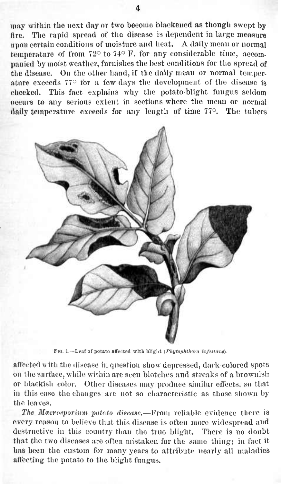may within the next day or two become blackened as though swept by fire. The rapid spread of the disease is dependent in large measure upon certain conditions of moisture and heat. A daily mean or normal temperature of from  $72^{\circ}$  to  $74^{\circ}$  F. for any considerable time, accompanied by moist weather, furnishes the best conditions for the spread of the disease. On the other hand, if the daily mean or normal temperature exceeds 77° for a few days the development of the disease is checked. This fact explains why the potato-blight fungus seldom occurs to any serious extent in sections where the mean or normal daily temperature exceeds for any length of time 77°. The tubers



**Fio. I.—Leaf of potato atfocted with blight** *{Pliytophthora in/titam).*

affected with the disease in question show depressed, dark-colored spots on the surface, while within are seen blotches and streaks of a brownish or blackish color. Other diseases may produce similar effects, so that in this case the changes are not so characteristic as those shown by the leaves.

*The Macrosporium potato disease.*—From reliable evidence there is every reason to believe that this disease is often more widespread and destructive in this country than the true blight. There is no doubt that the two diseases are often mistaken for the same thing; in fact it has been the custom for many years to attribute uearly all maladies affecting the potato to the blight fungus.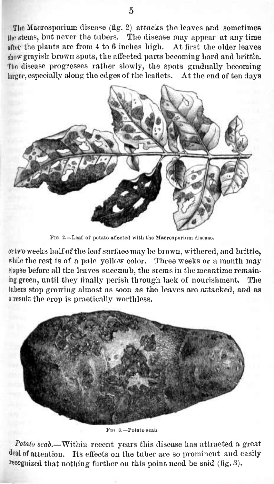The Macrosporium disease (fig. 2) attacks the leaves and sometimes the stems, but never the tubers. The disease may appear at any time after the plants are from 4 to 6 inches high. At first the older leaves show grayish brown spots, the affected parts becoming hard and brittle. The disease progresses rather slowly, the spots gradually becoming larger, especially along the edges of the leaflets. At the end of ten days



FIG. 2—Leaf of potato affected with the Hacrosporium disease.

or two weeks halfofthe leafsurface may be brown, withered, and brittle, while the rest is of a pale yellow color. Three weeks or a month may elapse before all the leaves succumb, the stems in the meantime remaining green, until they finally perish through lack of nourishment. The tubers stop growing almost as soon as the leaves are attacked, and as <sup>a</sup> result the crop is practically worthless.



Fio. 3—Potato scab.

*Potato scab.*—Within recent years this disease has attracted a great deal of attention. Its effects on the tuber are so prominent and easily recognized that nothing further on this point need be said  $(f\,g. 3)$ .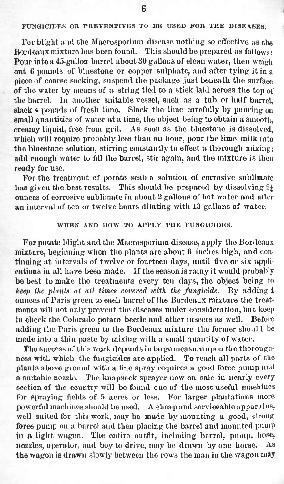## **FUNGICIDES OB PREVENTIVES TO BE USED FOB THE DISEASES.**

For blight and the Macrosporium disease nothing so effective as the Bordeaux mixture has been found. This should be prepared as follows : Pour into a 45-gallon barrel about 30 gallons of clean water, then weigh out <sup>6</sup> pounds of bluestone or copper sulphate, and after tying it in a piece of coarse sacking, suspend the package just beneath the surface of the water by means of a string tied to a stick laid across the top of the barrel. In another suitable vessel, such as a tub or half barrel, slack 4 pounds of fresh lime. Slack the lime carefully by pouring on small quantities of water at a time, the object being to obtain a smooth, creamy liquid, free from grit. As soon as the bluestone is dissolved, which will require probably less than an hour, pour the lime milk into the bluestone solution, stirring constantly to effect a thorough mixing; add enough water to fill the barrel, stir again, and the mixture is then ready for use.

For the treatment of potato scab a solution of corrosive sublimate has given the best results. This should be prepared by dissolving  $2\frac{1}{4}$ ounces of corrosive sublimate in about 2 gallons of hot water and after an interval of ten or twelve hours diluting with 13 gallons of water.

#### **WHEN AND HOW TO APPLY THE FUNGICIDES.**

For potato blight and the Macrosporium disease, apply the Bordeaux mixture, beginning when the plants are about 6 inches high, and continuing at intervals of twelve or fourteen days, until five or six applitunity cations in all have been made. If the season is rainy it would probably be best to make the treatments every ten days, the object being to *keep the plant» at all times covered with the fungicide.* By adding 4 ounces of Paris green to each barrel of the Bordeaux mixture the treatments will not only prevent the diseases under consideration, but keep<br>in check the Colorado potato beetle and other insects as well. Before in check the Colorado potato beetle and other insects as well. adding the Paris green to the Bordeaux mixture the former should be made into a thin paste by mixing with a small quantity of water.

The success of this work depends in large measure upon the thoroughness with which the fungicides are applied. To reach all parts of the plants above ground with a fine spray requires a good force pump and a suitable nozzle. The knapsack sprayer now on sale in nearly every section of the country will be found one of the most useful machines for spraying fields of 5 acres or less. For larger plantations more powerful machines should be used. A cheap and serviceable apparatus, well suited for this work, may be made by mounting a good, strong force pump ou a barrel and then placing the barrel and mounted pump in a light wagon. The entire outfit, including barrel, pump, hose, nozzles, operator, and boy to drive, may be drawn by one horse. As the wagon is drawn slowly between the rows the man in the wagon may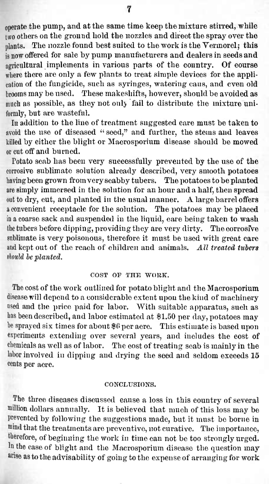operate the pump, and atthe same time keep the mixture stirred, while two others on the ground hold the nozzles and direct the spray over the plants. The nozzle found best suited to the work is the Vermorel; this is now offered for sale by pump manufacturers and dealers in seeds and agricultural implements in various parts of the country. Of eourse where there are only a few plants to treat simple devices for the application of the fungicide, such as syringes, watering cans, and even old brooms may be used. These makeshifts, however, should be avoided as much as possible, as they not only fail to distribute the mixture uniformly, but are wasteful.

In addition to the line of treatment suggested care must be taken to avoid the use of diseased " seed," and further, the stems and leaves killed by either the blight or Macrosporium disease should be mowed or cut off and burned.

Potato scab has been very successfully prevented by the use of the corrosive sublimate solution already described, very smooth potatoes having been grown fromvery scabby tubers. The potatoesto be planted are simply immersed in the solution for an hour and a half, then spread out to dry, cut, and planted in the usual manner. A large barrel offers a convenient receptacle for the solution. The potatoes may be placed in a coarse sack and suspended in the liquid, care being taken to wash the tubers before dipping, providing they are very dirty. The corrosfve sublimate is very poisonous, therefore it must be used with great care and kept out of the reach of children and animals. *All treated tubers*  $b$ *ahould be planted.* 

#### **COST OF THE WORK.**

The cost of the work outlined for potato blight and the Macrosporium disease will depend to a considerable extent upon the kind of machinery used and the price paid for labor. With suitable apparatus, such as has been described, and labor estimated at \$1.50 per day, potatoes may be sprayed six times for about \$6 per acre. This estimate is based upon experiments extending over several years, and includes the cost of chemicals as well as of labor. The cost of treating scab is mainly in the labor involved in dipping and drying the seed and seldom exceeds 15 cents per acre.

## **CONCLUSIONS.**

The three diseases discussed cause a loss in this country of several million dollars annually. It is believed that much of this loss may be prevented by following the suggestions made, but it must be borne in mind that the treatments are preventive, not curative. The importance, therefore, of beginning the work in time can not be too strongly urged. In the case of blight and the Macrosporium disease the question may arise as to the advisability of going to the expense of arranging for work